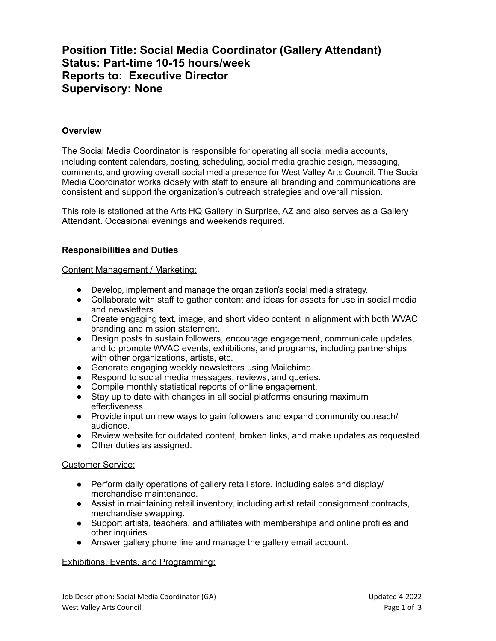# **Position Title: Social Media Coordinator (Gallery Attendant) Status: Part-time 10-15 hours/week Reports to: Executive Director Supervisory: None**

### **Overview**

The Social Media Coordinator is responsible for operating all social media accounts, including content calendars, posting, scheduling, social media graphic design, messaging, comments, and growing overall social media presence for West Valley Arts Council. The Social Media Coordinator works closely with staff to ensure all branding and communications are consistent and support the organization's outreach strategies and overall mission.

This role is stationed at the Arts HQ Gallery in Surprise, AZ and also serves as a Gallery Attendant. Occasional evenings and weekends required.

### **Responsibilities and Duties**

Content Management / Marketing:

- Develop, implement and manage the organization's social media strategy.
- Collaborate with staff to gather content and ideas for assets for use in social media and newsletters.
- Create engaging text, image, and short video content in alignment with both WVAC branding and mission statement.
- Design posts to sustain followers, encourage engagement, communicate updates, and to promote WVAC events, exhibitions, and programs, including partnerships with other organizations, artists, etc.
- Generate engaging weekly newsletters using Mailchimp.
- Respond to social media messages, reviews, and queries.
- Compile monthly statistical reports of online engagement.
- Stay up to date with changes in all social platforms ensuring maximum effectiveness.
- Provide input on new ways to gain followers and expand community outreach/ audience.
- Review website for outdated content, broken links, and make updates as requested.
- Other duties as assigned.

### Customer Service:

- Perform daily operations of gallery retail store, including sales and display/ merchandise maintenance.
- Assist in maintaining retail inventory, including artist retail consignment contracts, merchandise swapping.
- Support artists, teachers, and affiliates with memberships and online profiles and other inquiries.
- Answer gallery phone line and manage the gallery email account.

### Exhibitions, Events, and Programming: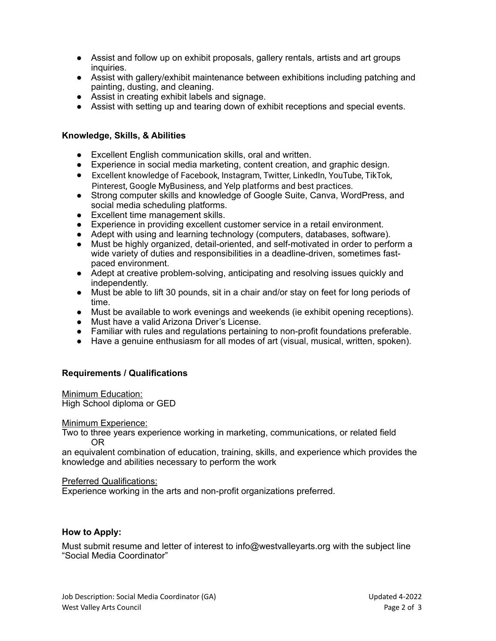- Assist and follow up on exhibit proposals, gallery rentals, artists and art groups inquiries.
- Assist with gallery/exhibit maintenance between exhibitions including patching and painting, dusting, and cleaning.
- Assist in creating exhibit labels and signage.
- Assist with setting up and tearing down of exhibit receptions and special events.

## **Knowledge, Skills, & Abilities**

- Excellent English communication skills, oral and written.
- Experience in social media marketing, content creation, and graphic design.
- Excellent knowledge of Facebook, Instagram, Twitter, LinkedIn, YouTube, TikTok, Pinterest, Google MyBusiness, and Yelp platforms and best practices.
- Strong computer skills and knowledge of Google Suite, Canva, WordPress, and social media scheduling platforms.
- Excellent time management skills.
- Experience in providing excellent customer service in a retail environment.
- Adept with using and learning technology (computers, databases, software).
- Must be highly organized, detail-oriented, and self-motivated in order to perform a wide variety of duties and responsibilities in a deadline-driven, sometimes fastpaced environment.
- Adept at creative problem-solving, anticipating and resolving issues quickly and independently.
- Must be able to lift 30 pounds, sit in a chair and/or stay on feet for long periods of time.
- Must be available to work evenings and weekends (ie exhibit opening receptions).
- Must have a valid Arizona Driver's License.
- Familiar with rules and regulations pertaining to non-profit foundations preferable.
- Have a genuine enthusiasm for all modes of art (visual, musical, written, spoken).

### **Requirements / Qualifications**

Minimum Education: High School diploma or GED

Minimum Experience:

Two to three years experience working in marketing, communications, or related field OR

an equivalent combination of education, training, skills, and experience which provides the knowledge and abilities necessary to perform the work

### Preferred Qualifications:

Experience working in the arts and non-profit organizations preferred.

### **How to Apply:**

Must submit resume and letter of interest to info@westvalleyarts.org with the subject line "Social Media Coordinator"